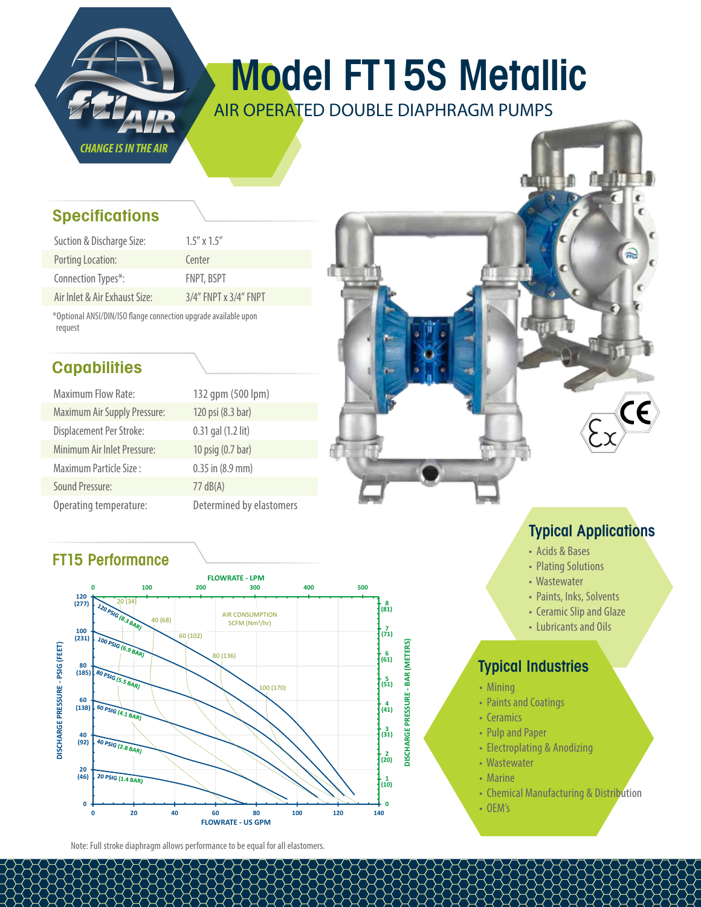

# Model FT15S Metallic

AIR OPERATED DOUBLE DIAPHRAGM PUMPS

# **Specifications**

| Suction & Discharge Size:     | $1.5''$ x $1.5''$           |
|-------------------------------|-----------------------------|
| Porting Location:             | Center                      |
| Connection Types*:            | <b>FNPT, BSPT</b>           |
| Air Inlet & Air Exhaust Size: | $3/4''$ FNPT x $3/4''$ FNPT |

\*Optional ANSI/DIN/ISO flange connection upgrade available upon request

# **Capabilities**

| <b>Maximum Flow Rate:</b>           | 132 qpm (500 lpm)        |
|-------------------------------------|--------------------------|
| <b>Maximum Air Supply Pressure:</b> | 120 psi (8.3 bar)        |
| Displacement Per Stroke:            | 0.31 gal (1.2 lit)       |
| Minimum Air Inlet Pressure:         | 10 psig (0.7 bar)        |
| Maximum Particle Size:              | $0.35$ in $(8.9$ mm)     |
| <b>Sound Pressure:</b>              | $77 \text{ dB}(A)$       |
| Operating temperature:              | Determined by elastomers |

# FT15 Performance



Note: Full stroke diaphragm allows performance to be equal for all elastomers.

# Typical Applications

- Acids & Bases
- Plating Solutions
- Wastewater
- Paints, Inks, Solvents
- Ceramic Slip and Glaze
- Lubricants and Oils

# Typical Industries

- Mining
- Paints and Coatings
- Ceramics
- Pulp and Paper
- Electroplating & Anodizing
- Wastewater
- Marine
- Chemical Manufacturing & Distribution
- OEM's